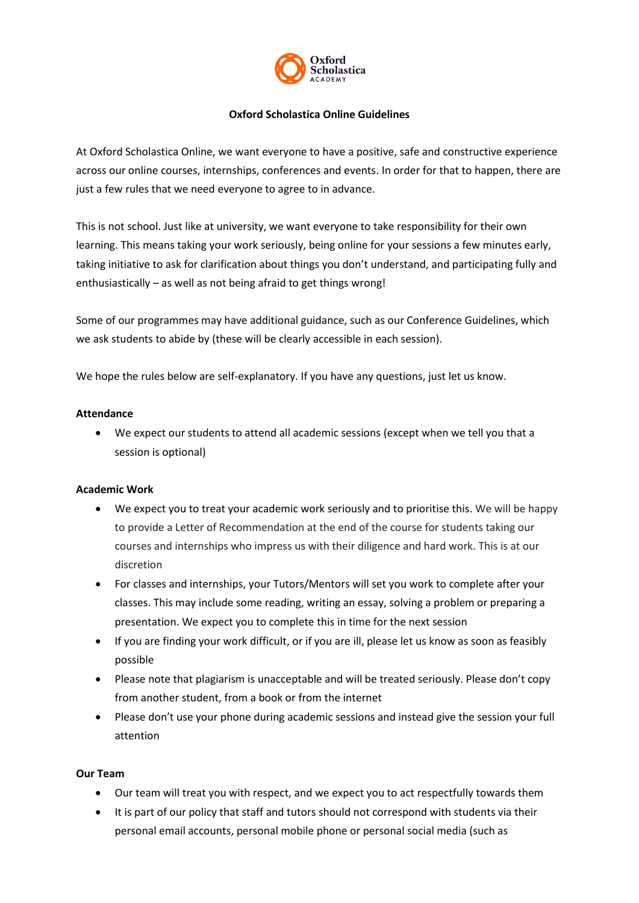

### **Oxford Scholastica Online Guidelines**

At Oxford Scholastica Online, we want everyone to have a positive, safe and constructive experience across our online courses, internships, conferences and events. In order for that to happen, there are just a few rules that we need everyone to agree to in advance.

This is not school. Just like at university, we want everyone to take responsibility for their own learning. This means taking your work seriously, being online for your sessions a few minutes early, taking initiative to ask for clarification about things you don't understand, and participating fully and enthusiastically – as well as not being afraid to get things wrong!

Some of our programmes may have additional guidance, such as our Conference Guidelines, which we ask students to abide by (these will be clearly accessible in each session).

We hope the rules below are self-explanatory. If you have any questions, just let us know.

#### **Attendance**

 We expect our students to attend all academic sessions (except when we tell you that a session is optional)

#### **Academic Work**

- We expect you to treat your academic work seriously and to prioritise this. We will be happy to provide a Letter of Recommendation at the end of the course for students taking our courses and internships who impress us with their diligence and hard work. This is at our discretion
- For classes and internships, your Tutors/Mentors will set you work to complete after your classes. This may include some reading, writing an essay, solving a problem or preparing a presentation. We expect you to complete this in time for the next session
- If you are finding your work difficult, or if you are ill, please let us know as soon as feasibly possible
- Please note that plagiarism is unacceptable and will be treated seriously. Please don't copy from another student, from a book or from the internet
- Please don't use your phone during academic sessions and instead give the session your full attention

#### **Our Team**

- Our team will treat you with respect, and we expect you to act respectfully towards them
- It is part of our policy that staff and tutors should not correspond with students via their personal email accounts, personal mobile phone or personal social media (such as